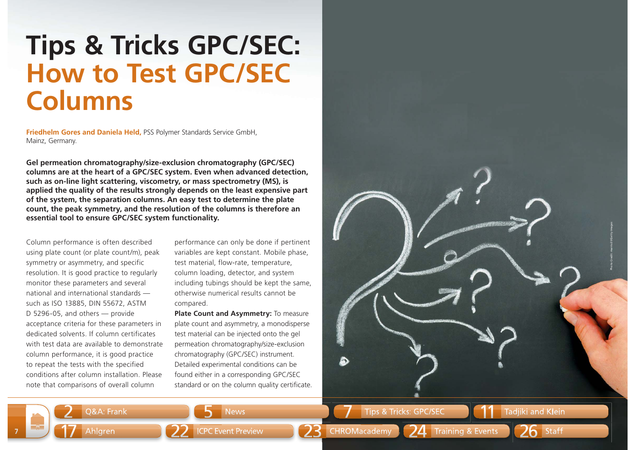## **Tips & Tricks GPC/SEC: How to Test GPC/SECColumns**

**Friedhelm Gores and Daniela Held,** PSS Polymer Standards Service GmbH, Mainz, Germany.

**Gel permeation chromatography/size-exclusion chromatography (GPC/SEC) columns are at the heart of a GPC/SEC system. Even when advanced detection, such as on-line light scattering, viscometry, or mass spectrometry (MS), is applied the quality of the results strongly depends on the least expensive part of the system, the separation columns. An easy test to determine the plate count, the peak symmetry, and the resolution of the columns is therefore an essential tool to ensure GPC/SEC system functionality.** 

Column performance is often described using plate count (or plate count/m), peak symmetry or asymmetry, and specific resolution. It is good practice to regularly monitor these parameters and several national and international standards such as ISO 13885, DIN 55672, ASTM D 5296-05, and others — provide acceptance criteria for these parameters in dedicated solvents. If column certificates with test data are available to demonstrate column performance, it is good practice to repeat the tests with the specified conditions after column installation. Please note that comparisons of overall column

Q&A: Frank

**7**

<sup>1</sup><sup>17</sup>

2

performance can only be done if pertinent variables are kept constant. Mobile phase, test material, flow-rate, temperature, column loading, detector, and system including tubings should be kept the same, otherwise numerical results cannot be compared.

**Plate Count and Asymmetry:** To measure plate count and asymmetry, a monodisperse test material can be injected onto the gel permeation chromatography/size-exclusion chromatography (GPC/SEC) instrument. Detailed experimental conditions can be found either in a corresponding GPC/SEC standard or on the column quality certificate.

News

5

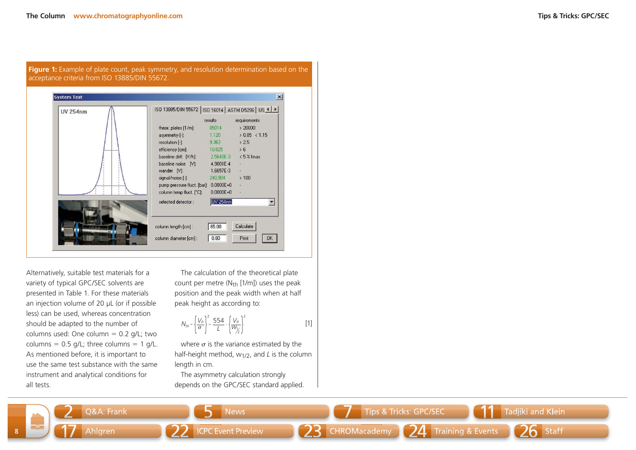

Alternatively, suitable test materials for a variety of typical GPC/SEC solvents are presented in Table 1. For these materials an injection volume of 20 µL (or if possible less) can be used, whereas concentration should be adapted to the number of columns used: One column  $= 0.2$  g/L; two columns =  $0.5$  g/L; three columns =  $1$  g/L. As mentioned before, it is important to use the same test substance with the same instrument and analytical conditions for all tests.

The calculation of the theoretical plate count per metre  $(N_{th}$  [1/m]) uses the peak position and the peak width when at half peak height as according to:

$$
N_{th} = \left\{ \frac{V_{\rho}}{\sigma} \right\}^2 = \frac{554}{L} \cdot \left\{ \frac{V_{\rho}}{W_{\gamma/2}} \right\}^2 \tag{1}
$$

where  $\sigma$  is the variance estimated by the half-height method, w1/2, and *L* is the column length in cm.

The asymmetry calculation strongly depends on the GPC/SEC standard applied.

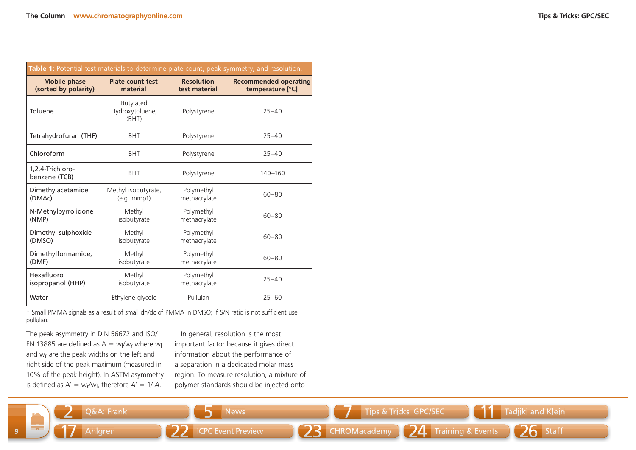|  |  |  | <b>Tips &amp; Tricks: GPC/SEC</b> |
|--|--|--|-----------------------------------|
|--|--|--|-----------------------------------|

| Table 1: Potential test materials to determine plate count, peak symmetry, and resolution. |                                       |                   |                              |  |  |  |
|--------------------------------------------------------------------------------------------|---------------------------------------|-------------------|------------------------------|--|--|--|
| <b>Mobile phase</b>                                                                        | <b>Plate count test</b>               | <b>Resolution</b> | <b>Recommended operating</b> |  |  |  |
| (sorted by polarity)                                                                       | material                              | test material     | temperature [°C]             |  |  |  |
| Toluene                                                                                    | Butylated<br>Hydroxytoluene,<br>(BHT) | Polystyrene       | $25 - 40$                    |  |  |  |
| Tetrahydrofuran (THF)                                                                      | <b>BHT</b>                            | Polystyrene       | $25 - 40$                    |  |  |  |
| Chloroform                                                                                 | <b>BHT</b>                            | Polystyrene       | $25 - 40$                    |  |  |  |
| 1,2,4-Trichloro-<br>benzene (TCB)                                                          | <b>BHT</b>                            | Polystyrene       | $140 - 160$                  |  |  |  |
| Dimethylacetamide                                                                          | Methyl isobutyrate,                   | Polymethyl        | $60 - 80$                    |  |  |  |
| (DMAc)                                                                                     | (e.g. mmp1)                           | methacrylate      |                              |  |  |  |
| N-Methylpyrrolidone                                                                        | Methyl                                | Polymethyl        | $60 - 80$                    |  |  |  |
| (NMP)                                                                                      | isobutyrate                           | methacrylate      |                              |  |  |  |
| Dimethyl sulphoxide                                                                        | Methyl                                | Polymethyl        | $60 - 80$                    |  |  |  |
| (DMSO)                                                                                     | isobutyrate                           | methacrylate      |                              |  |  |  |
| Dimethylformamide,                                                                         | Methyl                                | Polymethyl        | $60 - 80$                    |  |  |  |
| (DMF)                                                                                      | isobutyrate                           | methacrylate      |                              |  |  |  |
| Hexafluoro                                                                                 | Methyl                                | Polymethyl        | $25 - 40$                    |  |  |  |
| isopropanol (HFIP)                                                                         | isobutyrate                           | methacrylate      |                              |  |  |  |
| Water                                                                                      | Ethylene glycole                      | Pullulan          | $25 - 60$                    |  |  |  |

\* Small PMMA signals as a result of small dn/dc of PMMA in DMSO; if S/N ratio is not sufficient use pullulan.

The peak asymmetry in DIN 56672 and ISO/ EN 13885 are defined as  $A = w_I/w_I$  where w and wr are the peak widths on the left and right side of the peak maximum (measured in 10% of the peak height). In ASTM asymmetry is defined as A' = w<sub>r</sub>/w<sub>l</sub>, therefore A' = 1/ A.

In general, resolution is the most important factor because it gives direct information about the performance of a separation in a dedicated molar mass region. To measure resolution, a mixture of polymer standards should be injected onto